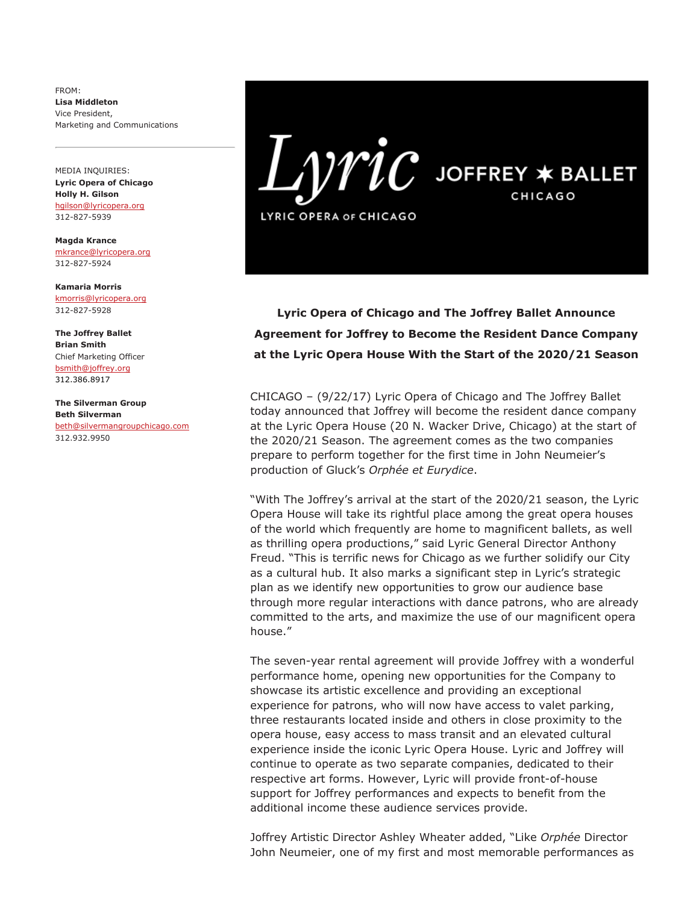FROM: Lisa Middleton Vice President, Marketing and Communications

MEDIA INQUIRIES: Lyric Opera of Chicago Holly H. Gilson [hgilson@lyricopera.org](mailto:hgilson@lyricopera.org) 312-827-5939

Magda Krance [mkrance@lyricopera.org](mailto:mkrance@lyricopera.org) 312-827-5924

Kamaria Morris [kmorris@lyricopera.org](mailto:kmorris@lyricopera.org) 312-827-5928

The Joffrey Ballet Brian Smith Chief Marketing Officer [bsmith@joffrey.org](mailto:bsmith@joffrey.org) 312.386.8917

The Silverman Group Beth Silverman [beth@silvermangroupchicago.com](mailto:beth@silvermangroupchicago.com) 312.932.9950



Lyric Opera of Chicago and The Joffrey Ballet Announce Agreement for Joffrey to Become the Resident Dance Company at the Lyric Opera House With the Start of the 2020/21 Season

CHICAGO – (9/22/17) Lyric Opera of Chicago and The Joffrey Ballet today announced that Joffrey will become the resident dance company at the Lyric Opera House (20 N. Wacker Drive, Chicago) at the start of the 2020/21 Season. The agreement comes as the two companies prepare to perform together for the first time in John Neumeier's production of Gluck's Orphée et Eurydice.

"With The Joffrey's arrival at the start of the 2020/21 season, the Lyric Opera House will take its rightful place among the great opera houses of the world which frequently are home to magnificent ballets, as well as thrilling opera productions," said Lyric General Director Anthony Freud. "This is terrific news for Chicago as we further solidify our City as a cultural hub. It also marks a significant step in Lyric's strategic plan as we identify new opportunities to grow our audience base through more regular interactions with dance patrons, who are already committed to the arts, and maximize the use of our magnificent opera house."

The seven-year rental agreement will provide Joffrey with a wonderful performance home, opening new opportunities for the Company to showcase its artistic excellence and providing an exceptional experience for patrons, who will now have access to valet parking, three restaurants located inside and others in close proximity to the opera house, easy access to mass transit and an elevated cultural experience inside the iconic Lyric Opera House. Lyric and Joffrey will continue to operate as two separate companies, dedicated to their respective art forms. However, Lyric will provide front-of-house support for Joffrey performances and expects to benefit from the additional income these audience services provide.

Joffrey Artistic Director Ashley Wheater added, "Like Orphée Director John Neumeier, one of my first and most memorable performances as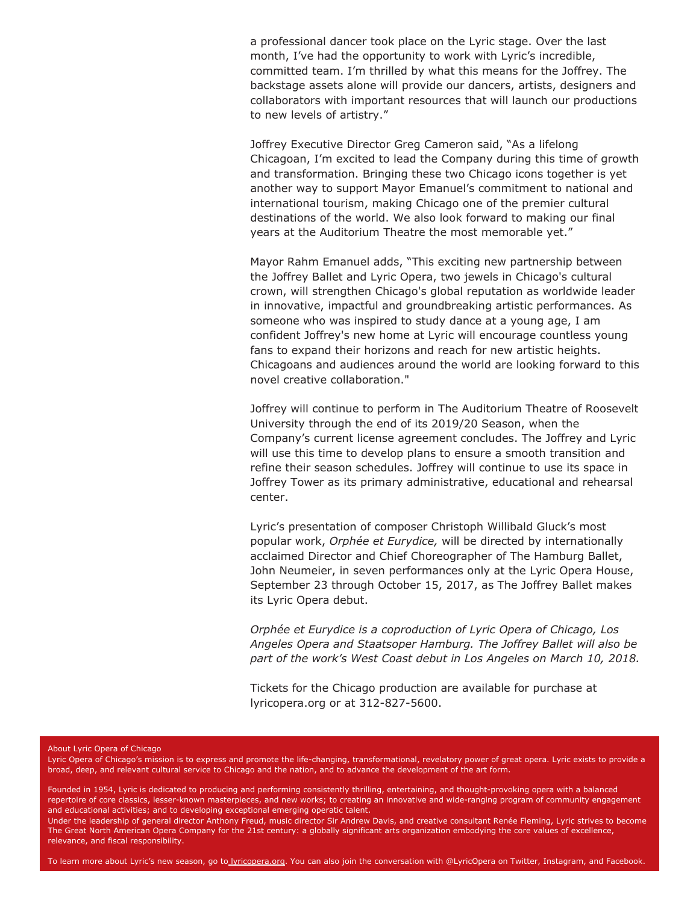a professional dancer took place on the Lyric stage. Over the last month, I've had the opportunity to work with Lyric's incredible, committed team. I'm thrilled by what this means for the Joffrey. The backstage assets alone will provide our dancers, artists, designers and collaborators with important resources that will launch our productions to new levels of artistry."

Joffrey Executive Director Greg Cameron said, "As a lifelong Chicagoan, I'm excited to lead the Company during this time of growth and transformation. Bringing these two Chicago icons together is yet another way to support Mayor Emanuel's commitment to national and international tourism, making Chicago one of the premier cultural destinations of the world. We also look forward to making our final years at the Auditorium Theatre the most memorable yet."

Mayor Rahm Emanuel adds, "This exciting new partnership between the Joffrey Ballet and Lyric Opera, two jewels in Chicago's cultural crown, will strengthen Chicago's global reputation as worldwide leader in innovative, impactful and groundbreaking artistic performances. As someone who was inspired to study dance at a young age, I am confident Joffrey's new home at Lyric will encourage countless young fans to expand their horizons and reach for new artistic heights. Chicagoans and audiences around the world are looking forward to this novel creative collaboration."

Joffrey will continue to perform in The Auditorium Theatre of Roosevelt University through the end of its 2019/20 Season, when the Company's current license agreement concludes. The Joffrey and Lyric will use this time to develop plans to ensure a smooth transition and refine their season schedules. Joffrey will continue to use its space in Joffrey Tower as its primary administrative, educational and rehearsal center.

Lyric's presentation of composer Christoph Willibald Gluck's most popular work, Orphée et Eurydice, will be directed by internationally acclaimed Director and Chief Choreographer of The Hamburg Ballet, John Neumeier, in seven performances only at the Lyric Opera House, September 23 through October 15, 2017, as The Joffrey Ballet makes its Lyric Opera debut.

Orphée et Eurydice is a coproduction of Lyric Opera of Chicago, Los Angeles Opera and Staatsoper Hamburg. The Joffrey Ballet will also be part of the work's West Coast debut in Los Angeles on March 10, 2018.

Tickets for the Chicago production are available for purchase at lyricopera.org or at 312-827-5600.

## About Lyric Opera of Chicago

Lyric Opera of Chicago's mission is to express and promote the life-changing, transformational, revelatory power of great opera. Lyric exists to provide a broad, deep, and relevant cultural service to Chicago and the nation, and to advance the development of the art form.

Founded in 1954, Lyric is dedicated to producing and performing consistently thrilling, entertaining, and thought-provoking opera with a balanced repertoire of core classics, lesser-known masterpieces, and new works; to creating an innovative and wide-ranging program of community engagement and educational activities; and to developing exceptional emerging operatic talent.

Under the leadership of general director Anthony Freud, music director Sir Andrew Davis, and creative consultant Renée Fleming, Lyric strives to become The Great North American Opera Company for the 21st century: a globally significant arts organization embodying the core values of excellence, relevance, and fiscal responsibility.

To learn more about Lyric's new season, go to *Lyricopera.org*. You can also join the conversation with @LyricOpera on Twitter, Instagram, and Facebook.